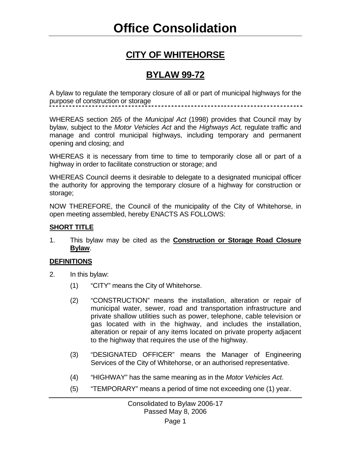# **CITY OF WHITEHORSE**

# **BYLAW 99-72**

A bylaw to regulate the temporary closure of all or part of municipal highways for the purpose of construction or storage

WHEREAS section 265 of the *Municipal Act* (1998) provides that Council may by bylaw, subject to the *Motor Vehicles Act* and the *Highways Act,* regulate traffic and manage and control municipal highways, including temporary and permanent opening and closing; and

WHEREAS it is necessary from time to time to temporarily close all or part of a highway in order to facilitate construction or storage; and

WHEREAS Council deems it desirable to delegate to a designated municipal officer the authority for approving the temporary closure of a highway for construction or storage;

NOW THEREFORE, the Council of the municipality of the City of Whitehorse, in open meeting assembled, hereby ENACTS AS FOLLOWS:

#### **SHORT TITLE**

1. This bylaw may be cited as the **Construction or Storage Road Closure Bylaw**.

#### **DEFINITIONS**

- 2. In this bylaw:
	- (1) "CITY" means the City of Whitehorse.
	- (2) "CONSTRUCTION" means the installation, alteration or repair of municipal water, sewer, road and transportation infrastructure and private shallow utilities such as power, telephone, cable television or gas located with in the highway, and includes the installation, alteration or repair of any items located on private property adjacent to the highway that requires the use of the highway.
	- (3) "DESIGNATED OFFICER" means the Manager of Engineering Services of the City of Whitehorse, or an authorised representative.
	- (4) "HIGHWAY" has the same meaning as in the *Motor Vehicles Act*.
	- (5) "TEMPORARY" means a period of time not exceeding one (1) year.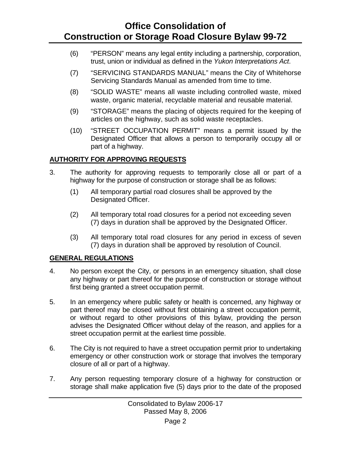## **Office Consolidation of Construction or Storage Road Closure Bylaw 99-72**

- (6) "PERSON" means any legal entity including a partnership, corporation, trust, union or individual as defined in the *Yukon Interpretations Act*.
- (7) "SERVICING STANDARDS MANUAL" means the City of Whitehorse Servicing Standards Manual as amended from time to time.
- (8) "SOLID WASTE" means all waste including controlled waste, mixed waste, organic material, recyclable material and reusable material.
- (9) "STORAGE" means the placing of objects required for the keeping of articles on the highway, such as solid waste receptacles.
- (10) "STREET OCCUPATION PERMIT" means a permit issued by the Designated Officer that allows a person to temporarily occupy all or part of a highway.

### **AUTHORITY FOR APPROVING REQUESTS**

- 3. The authority for approving requests to temporarily close all or part of a highway for the purpose of construction or storage shall be as follows:
	- (1) All temporary partial road closures shall be approved by the Designated Officer.
	- (2) All temporary total road closures for a period not exceeding seven (7) days in duration shall be approved by the Designated Officer.
	- (3) All temporary total road closures for any period in excess of seven (7) days in duration shall be approved by resolution of Council.

#### **GENERAL REGULATIONS**

- 4. No person except the City, or persons in an emergency situation, shall close any highway or part thereof for the purpose of construction or storage without first being granted a street occupation permit.
- 5. In an emergency where public safety or health is concerned, any highway or part thereof may be closed without first obtaining a street occupation permit, or without regard to other provisions of this bylaw, providing the person advises the Designated Officer without delay of the reason, and applies for a street occupation permit at the earliest time possible.
- 6. The City is not required to have a street occupation permit prior to undertaking emergency or other construction work or storage that involves the temporary closure of all or part of a highway.
- 7. Any person requesting temporary closure of a highway for construction or storage shall make application five (5) days prior to the date of the proposed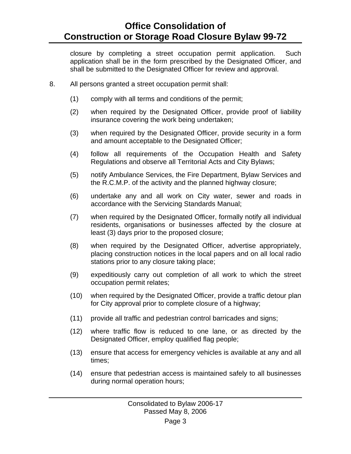closure by completing a street occupation permit application. Such application shall be in the form prescribed by the Designated Officer, and shall be submitted to the Designated Officer for review and approval.

- 8. All persons granted a street occupation permit shall:
	- (1) comply with all terms and conditions of the permit;
	- (2) when required by the Designated Officer, provide proof of liability insurance covering the work being undertaken;
	- (3) when required by the Designated Officer, provide security in a form and amount acceptable to the Designated Officer;
	- (4) follow all requirements of the Occupation Health and Safety Regulations and observe all Territorial Acts and City Bylaws;
	- (5) notify Ambulance Services, the Fire Department, Bylaw Services and the R.C.M.P. of the activity and the planned highway closure;
	- (6) undertake any and all work on City water, sewer and roads in accordance with the Servicing Standards Manual;
	- (7) when required by the Designated Officer, formally notify all individual residents, organisations or businesses affected by the closure at least (3) days prior to the proposed closure;
	- (8) when required by the Designated Officer, advertise appropriately, placing construction notices in the local papers and on all local radio stations prior to any closure taking place;
	- (9) expeditiously carry out completion of all work to which the street occupation permit relates;
	- (10) when required by the Designated Officer, provide a traffic detour plan for City approval prior to complete closure of a highway;
	- (11) provide all traffic and pedestrian control barricades and signs;
	- (12) where traffic flow is reduced to one lane, or as directed by the Designated Officer, employ qualified flag people;
	- (13) ensure that access for emergency vehicles is available at any and all times;
	- (14) ensure that pedestrian access is maintained safely to all businesses during normal operation hours;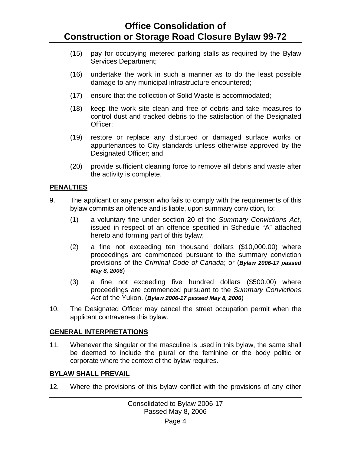### **Office Consolidation of Construction or Storage Road Closure Bylaw 99-72**

- (15) pay for occupying metered parking stalls as required by the Bylaw Services Department;
- (16) undertake the work in such a manner as to do the least possible damage to any municipal infrastructure encountered;
- (17) ensure that the collection of Solid Waste is accommodated;
- (18) keep the work site clean and free of debris and take measures to control dust and tracked debris to the satisfaction of the Designated Officer;
- (19) restore or replace any disturbed or damaged surface works or appurtenances to City standards unless otherwise approved by the Designated Officer; and
- (20) provide sufficient cleaning force to remove all debris and waste after the activity is complete.

#### **PENALTIES**

- 9. The applicant or any person who fails to comply with the requirements of this bylaw commits an offence and is liable, upon summary conviction, to:
	- (1) a voluntary fine under section 20 of the *Summary Convictions Act*, issued in respect of an offence specified in Schedule "A" attached hereto and forming part of this bylaw;
	- (2) a fine not exceeding ten thousand dollars (\$10,000.00) where proceedings are commenced pursuant to the summary conviction provisions of the *Criminal Code of Canada*; or (*Bylaw 2006-17 passed May 8, 2006*)
	- (3) a fine not exceeding five hundred dollars (\$500.00) where proceedings are commenced pursuant to the *Summary Convictions Act* of the Yukon. (*Bylaw 2006-17 passed May 8, 2006*)
- 10. The Designated Officer may cancel the street occupation permit when the applicant contravenes this bylaw.

#### **GENERAL INTERPRETATIONS**

11. Whenever the singular or the masculine is used in this bylaw, the same shall be deemed to include the plural or the feminine or the body politic or corporate where the context of the bylaw requires.

### **BYLAW SHALL PREVAIL**

12. Where the provisions of this bylaw conflict with the provisions of any other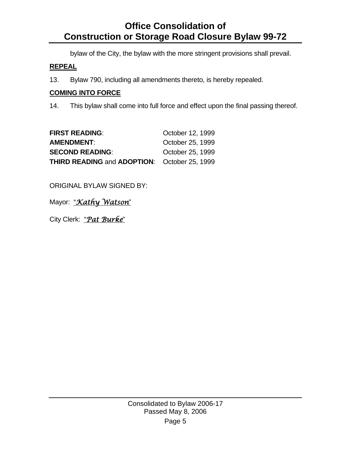# **Office Consolidation of Construction or Storage Road Closure Bylaw 99-72**

bylaw of the City, the bylaw with the more stringent provisions shall prevail.

### **REPEAL**

13. Bylaw 790, including all amendments thereto, is hereby repealed.

### **COMING INTO FORCE**

14. This bylaw shall come into full force and effect upon the final passing thereof.

| <b>FIRST READING:</b>                               | October 12, 1999 |
|-----------------------------------------------------|------------------|
| <b>AMENDMENT:</b>                                   | October 25, 1999 |
| <b>SECOND READING:</b>                              | October 25, 1999 |
| <b>THIRD READING and ADOPTION:</b> October 25, 1999 |                  |

ORIGINAL BYLAW SIGNED BY:

Mayor: "*Kathy Watson*"

City Clerk: "*Pat Burke*"